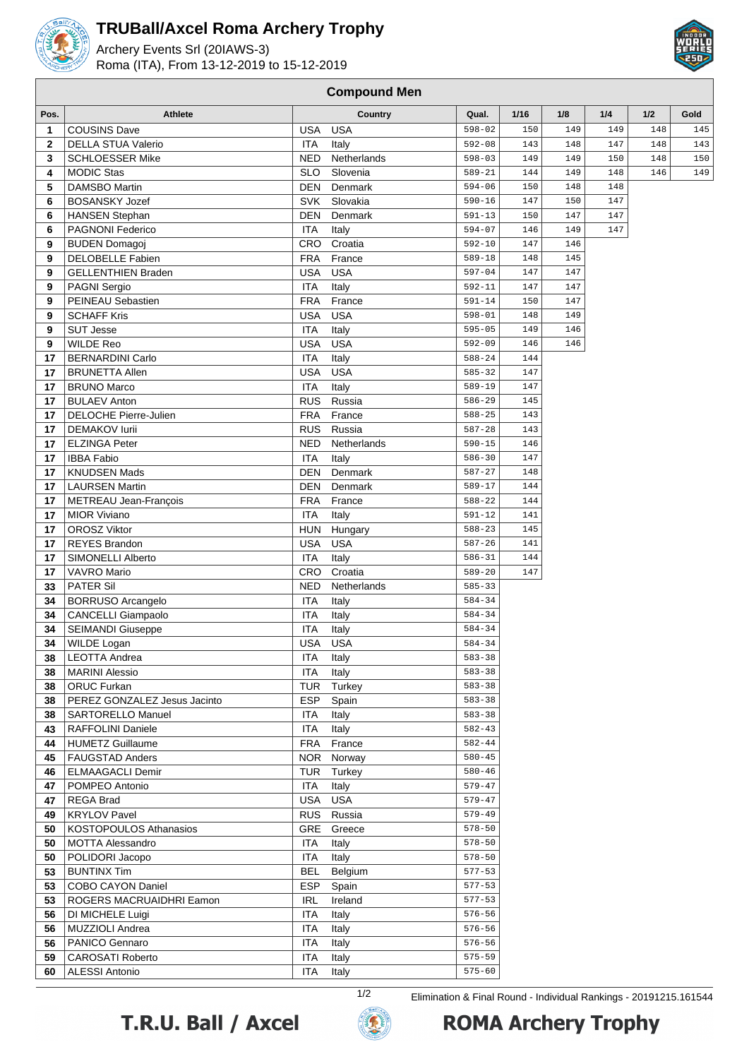

## **TRUBall/Axcel Roma Archery Trophy**

Archery Events Srl (20IAWS-3) Roma (ITA), From 13-12-2019 to 15-12-2019



## **Pos. Athlete Country Qual. 1/16 1/8 1/4 1/2 Gold** COUSINS Dave **1 USA USA 1** 598-02 150 149 149 148 148 DELLA STUA Valerio **ITA Italy** 148 143 148 147 148 143 148 149 SCHLOESSER Mike NED Netherlands 598-03 149 149 150 148 150 MODIC Stas SLO Slovenia 589-21 144 149 148 146 149 DAMSBO Martin **148 DEN** Denmark 594-06 150 148 148 BOSANSKY Jozef SVK Slovakia 590-16 147 150 147 HANSEN Stephan DEN Denmark 591-13 150 147 147 PAGNONI Federico **ITA Italy** 594-07 146 149 147 BUDEN Domagoj **CRO** Croatia 592-10 147 146 DELOBELLE Fabien **FRA France** 589-18 148 145 GELLENTHIEN Braden **I** USA USA ISA 397-04 147 147 PAGNI Sergio **ITA Italy** 592-11 147 147 PEINEAU Sebastien **FRA** France 591-14 150 147 SCHAFF Kris USA USA 598-01 148 149 SUT Jesse ITA Italy 595-05 149 146 WILDE Reo USA USA USA 592-09 146 146 BERNARDINI Carlo **ITA Italy 174** ITA Italy 588-24 144 BRUNETTA Allen **1888 1888 1991 112 | USA USA** 585-32 | 147 BRUNO Marco **ITA** ITA Italy 589-19 147 BULAEV Anton **RUS** RUS Russia **17**  $\begin{array}{|c|c|c|c|c|} \hline \text{RUAEV Anton} & & \text{145} \\\hline \end{array}$  DELOCHE Pierre-Julien **FRA** France 588-25 143 DEMAKOV Iurii **17 121 | 121 | 132 | 143 | 143 | 143 | 143 | 143 | 143 | 143 | 143 | 143 | 143 | 143 | 143 | 143 | 143 | 143 | 143 | 143 | 143 | 158 | 158 | 158 | 158 | 158 | 158 | 158 | 158 | 158 | 158 | 158 | 158 |**  ELZINGA Peter **NED Netherlands** 590-15 146 IBBA Fabio **ITA Italy** 586-30 147 KNUDSEN Mads DEN Denmark 587-27 148 LAURSEN Martin **DEN** Denmark 589-17 144 METREAU Jean-François **FRA** France 588-22 144 MIOR Viviano **ITA Italy ITA Italy** 591-12 141 OROSZ Viktor **1888-23** 145 REYES Brandon **1888** USA USA 587-26 141 SIMONELLI Alberto **ITA** Italy 586-31 144 VAVRO Mario **CRO** Croatia  $\begin{array}{|c|c|c|c|c|} \hline \text{189-20} & \text{147} \hline \end{array}$  PATER Sil NED Netherlands 585-33 BORRUSO Arcangelo **ITA** Italy 584-34 CANCELLI Giampaolo **ITA** Italy 174 Italy 584-34 SEIMANDI Giuseppe **ITA** Italy 584-34 WILDE Logan USA USA USA 584-34 LEOTTA Andrea **ITA** Italy 583-38 MARINI Alessio **ITA** Italy 583-38 ORUC Furkan TUR Turkey 583-38 PEREZ GONZALEZ Jesus Jacinto **ESP** Spain **ESP** Spain 583-38 SARTORELLO Manuel **ITA** Italy 583-38 RAFFOLINI Daniele **ITA** ITA Italy **ITA** Italy 582-43 HUMETZ Guillaume FRA France 582-44 FAUGSTAD Anders NOR NOR Norway 580-45 ELMAAGACLI Demir TUR Turkey | 580-46 POMPEO Antonio **ITA** Italy 579-47 REGA Brad **USA USA USA** 579-47 KRYLOV Pavel **RUS** Russia 579-49 KOSTOPOULOS Athanasios GRE Greece 578-50 MOTTA Alessandro **ITA** Italy 578-50 POLIDORI Jacopo **ITA** Italy 578-50 BUNTINX Tim BEL Belgium 577-53 COBO CAYON Daniel ESP Spain 577-53 ROGERS MACRUAIDHRI Eamon **IRL Ireland** 577-53 DI MICHELE Luigi **ITA** Italy 576-56 MUZZIOLI Andrea **ITA** Italy **ITA** Italy 576-56 PANICO Gennaro **ITA** Italy 576-56 CAROSATI Roberto **ITA Italy** 575-59 ALESSI Antonio **ITA** Italy 575-60

**Compound Men**





1/2 Elimination & Final Round - Individual Rankings - 20191215.161544